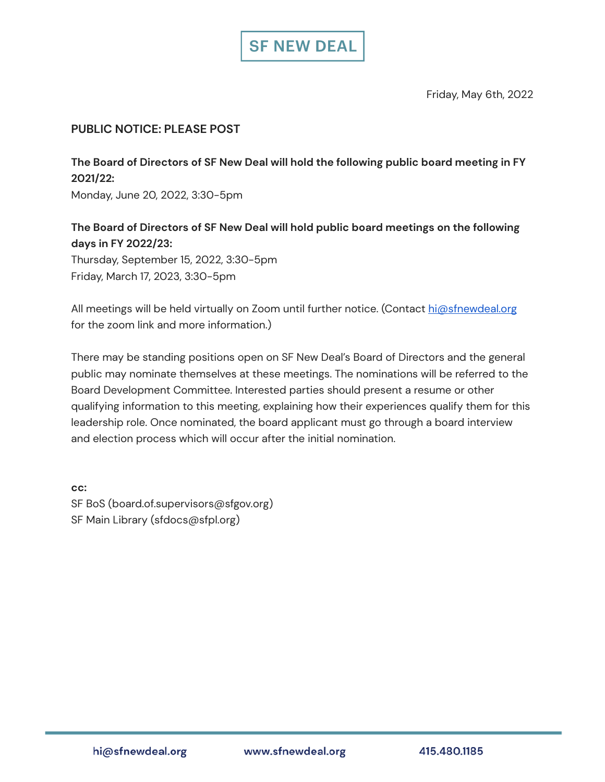

Friday, May 6th, 2022

## **PUBLIC NOTICE: PLEASE POST**

**The Board of Directors of SF New Deal will hold the following public board meeting in FY 2021/22:**

Monday, June 20, 2022, 3:30-5pm

## **The Board of Directors of SF New Deal will hold public board meetings on the following days in FY 2022/23:**

Thursday, September 15, 2022, 3:30-5pm Friday, March 17, 2023, 3:30-5pm

All meetings will be held virtually on Zoom until further notice. (Contact [hi@sfnewdeal.org](mailto:hi@sfnewdeal.org) for the zoom link and more information.)

There may be standing positions open on SF New Deal's Board of Directors and the general public may nominate themselves at these meetings. The nominations will be referred to the Board Development Committee. Interested parties should present a resume or other qualifying information to this meeting, explaining how their experiences qualify them for this leadership role. Once nominated, the board applicant must go through a board interview and election process which will occur after the initial nomination.

**cc:** SF BoS (board.of.supervisors@sfgov.org) SF Main Library (sfdocs@sfpl.org)